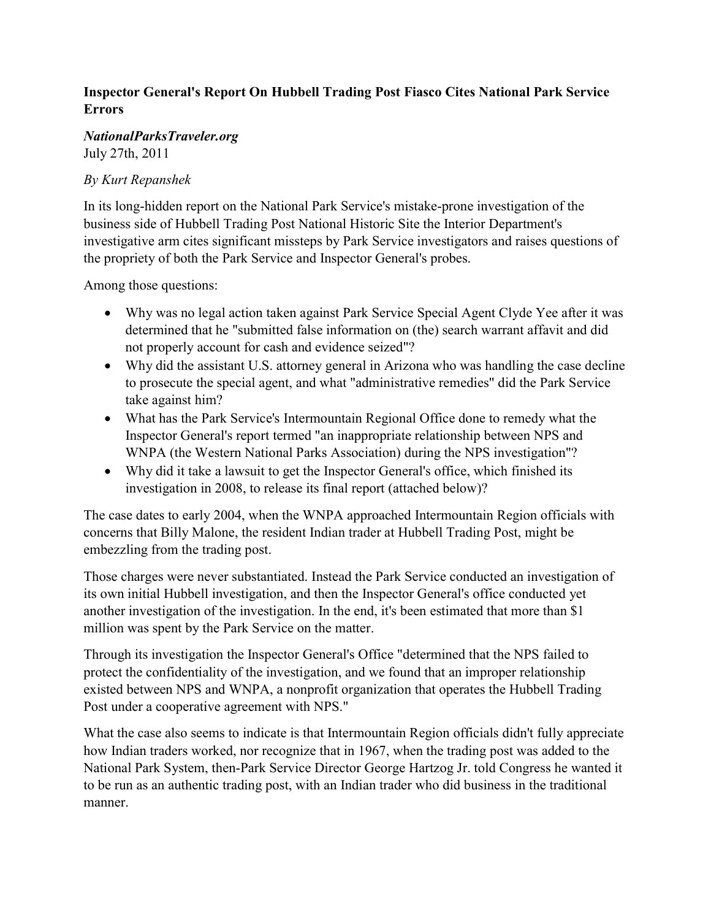## Inspector General's Report On Hubbell Trading Post Fiasco Cites National Park Service Errors

## NationalParksTraveler.org

July 27th, 2011

## By Kurt Repanshek

In its long-hidden report on the National Park Service's mistake-prone investigation of the business side of Hubbell Trading Post National Historic Site the Interior Department's investigative arm cites significant missteps by Park Service investigators and raises questions of the propriety of both the Park Service and Inspector General's probes.

Among those questions:

- Why was no legal action taken against Park Service Special Agent Clyde Yee after it was determined that he "submitted false information on (the) search warrant affavit and did not properly account for cash and evidence seized"?
- Why did the assistant U.S. attorney general in Arizona who was handling the case decline to prosecute the special agent, and what "administrative remedies" did the Park Service take against him?
- What has the Park Service's Intermountain Regional Office done to remedy what the Inspector General's report termed "an inappropriate relationship between NPS and WNPA (the Western National Parks Association) during the NPS investigation"?
- Why did it take a lawsuit to get the Inspector General's office, which finished its investigation in 2008, to release its final report (attached below)?

The case dates to early 2004, when the WNPA approached Intermountain Region officials with concerns that Billy Malone, the resident Indian trader at Hubbell Trading Post, might be embezzling from the trading post.

Those charges were never substantiated. Instead the Park Service conducted an investigation of its own initial Hubbell investigation, and then the Inspector General's office conducted yet another investigation of the investigation. In the end, it's been estimated that more than \$1 million was spent by the Park Service on the matter.

Through its investigation the Inspector General's Office "determined that the NPS failed to protect the confidentiality of the investigation, and we found that an improper relationship existed between NPS and WNPA, a nonprofit organization that operates the Hubbell Trading Post under a cooperative agreement with NPS."

What the case also seems to indicate is that Intermountain Region officials didn't fully appreciate how Indian traders worked, nor recognize that in 1967, when the trading post was added to the National Park System, then-Park Service Director George Hartzog Jr. told Congress he wanted it to be run as an authentic trading post, with an Indian trader who did business in the traditional manner.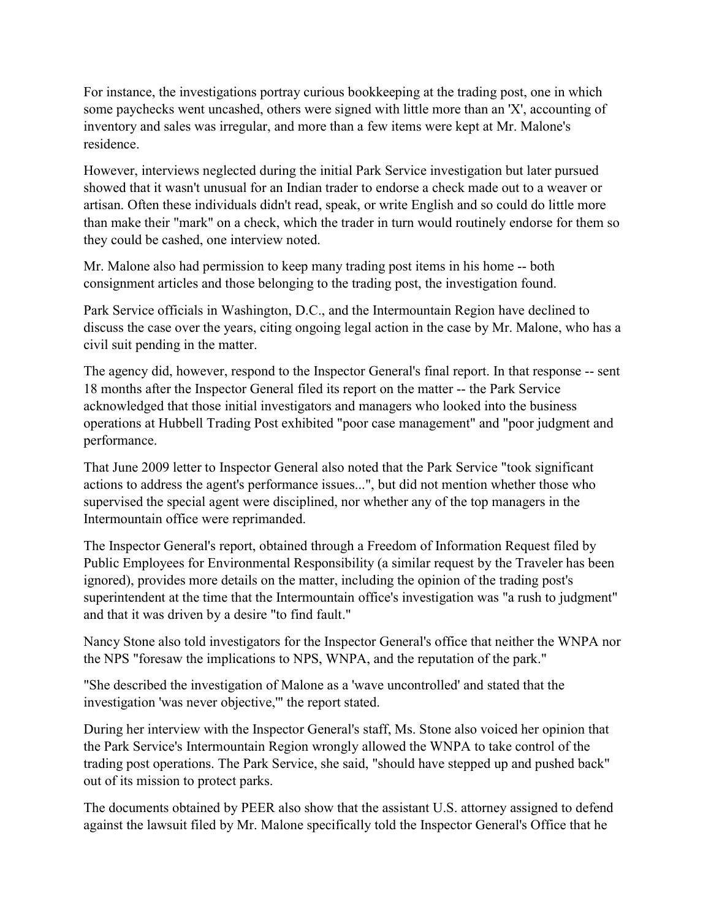For instance, the investigations portray curious bookkeeping at the trading post, one in which some paychecks went uncashed, others were signed with little more than an 'X', accounting of inventory and sales was irregular, and more than a few items were kept at Mr. Malone's residence.

However, interviews neglected during the initial Park Service investigation but later pursued showed that it wasn't unusual for an Indian trader to endorse a check made out to a weaver or artisan. Often these individuals didn't read, speak, or write English and so could do little more than make their "mark" on a check, which the trader in turn would routinely endorse for them so they could be cashed, one interview noted.

Mr. Malone also had permission to keep many trading post items in his home -- both consignment articles and those belonging to the trading post, the investigation found.

Park Service officials in Washington, D.C., and the Intermountain Region have declined to discuss the case over the years, citing ongoing legal action in the case by Mr. Malone, who has a civil suit pending in the matter.

The agency did, however, respond to the Inspector General's final report. In that response -- sent 18 months after the Inspector General filed its report on the matter -- the Park Service acknowledged that those initial investigators and managers who looked into the business operations at Hubbell Trading Post exhibited "poor case management" and "poor judgment and performance.

That June 2009 letter to Inspector General also noted that the Park Service "took significant actions to address the agent's performance issues...", but did not mention whether those who supervised the special agent were disciplined, nor whether any of the top managers in the Intermountain office were reprimanded.

The Inspector General's report, obtained through a Freedom of Information Request filed by Public Employees for Environmental Responsibility (a similar request by the Traveler has been ignored), provides more details on the matter, including the opinion of the trading post's superintendent at the time that the Intermountain office's investigation was "a rush to judgment" and that it was driven by a desire "to find fault."

Nancy Stone also told investigators for the Inspector General's office that neither the WNPA nor the NPS "foresaw the implications to NPS, WNPA, and the reputation of the park."

"She described the investigation of Malone as a 'wave uncontrolled' and stated that the investigation 'was never objective,'" the report stated.

During her interview with the Inspector General's staff, Ms. Stone also voiced her opinion that the Park Service's Intermountain Region wrongly allowed the WNPA to take control of the trading post operations. The Park Service, she said, "should have stepped up and pushed back" out of its mission to protect parks.

The documents obtained by PEER also show that the assistant U.S. attorney assigned to defend against the lawsuit filed by Mr. Malone specifically told the Inspector General's Office that he